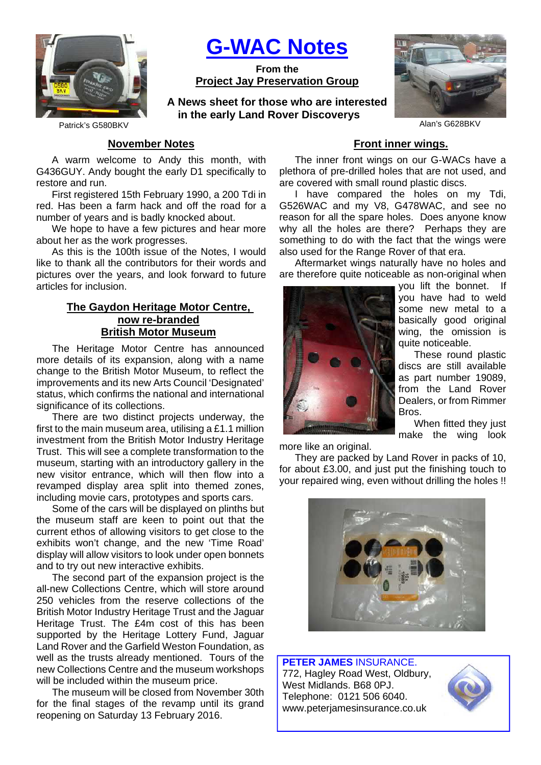

**G-WAC Notes**

**From the Project Jay Preservation Group**

**A News sheet for those who are interested in the early Land Rover Discoverys**



Patrick's G580BKV Alan's G628BKV Alan's G628BKV

## **November Notes**

A warm welcome to Andy this month, with G436GUY. Andy bought the early D1 specifically to restore and run.

First registered 15th February 1990, a 200 Tdi in red. Has been a farm hack and off the road for a number of years and is badly knocked about.

We hope to have a few pictures and hear more about her as the work progresses.

As this is the 100th issue of the Notes, I would like to thank all the contributors for their words and pictures over the years, and look forward to future articles for inclusion.

## **The Gaydon Heritage Motor Centre, now re-branded British Motor Museum**

The Heritage Motor Centre has announced more details of its expansion, along with a name change to the British Motor Museum, to reflect the improvements and its new Arts Council 'Designated' status, which confirms the national and international significance of its collections.

There are two distinct projects underway, the first to the main museum area, utilising a £1.1 million investment from the British Motor Industry Heritage Trust. This will see a complete transformation to the museum, starting with an introductory gallery in the new visitor entrance, which will then flow into a revamped display area split into themed zones, including movie cars, prototypes and sports cars.

Some of the cars will be displayed on plinths but the museum staff are keen to point out that the current ethos of allowing visitors to get close to the exhibits won't change, and the new 'Time Road' display will allow visitors to look under open bonnets and to try out new interactive exhibits.

The second part of the expansion project is the all-new Collections Centre, which will store around 250 vehicles from the reserve collections of the British Motor Industry Heritage Trust and the Jaguar Heritage Trust. The £4m cost of this has been supported by the Heritage Lottery Fund, Jaguar Land Rover and the Garfield Weston Foundation, as well as the trusts already mentioned. Tours of the new Collections Centre and the museum workshops will be included within the museum price.

The museum will be closed from November 30th for the final stages of the revamp until its grand reopening on Saturday 13 February 2016.

## **Front inner wings.**

The inner front wings on our G-WACs have a plethora of pre-drilled holes that are not used, and are covered with small round plastic discs.

I have compared the holes on my Tdi, G526WAC and my V8, G478WAC, and see no reason for all the spare holes. Does anyone know why all the holes are there? Perhaps they are something to do with the fact that the wings were also used for the Range Rover of that era.

Aftermarket wings naturally have no holes and are therefore quite noticeable as non-original when



you lift the bonnet. If you have had to weld some new metal to a basically good original wing, the omission is quite noticeable.

These round plastic discs are still available as part number 19089, from the Land Rover Dealers, or from Rimmer Bros.

When fitted they just make the wing look

more like an original.

They are packed by Land Rover in packs of 10, for about £3.00, and just put the finishing touch to your repaired wing, even without drilling the holes !!



**PETER JAMES** INSURANCE. 772, Hagley Road West, Oldbury, West Midlands. B68 0PJ. Telephone: 0121 506 6040. www.peterjamesinsurance.co.uk

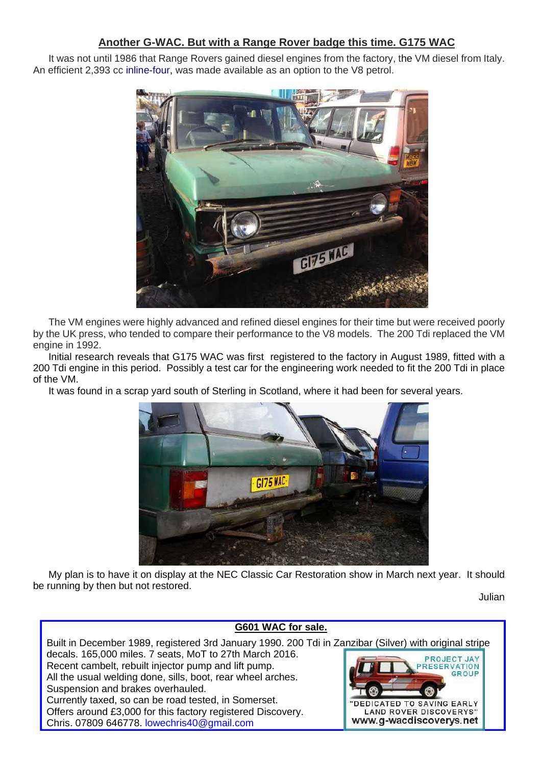# **Another G-WAC. But with a Range Rover badge this time. G175 WAC**

It was not until 1986 that Range Rovers gained diesel engines from the factory, the VM diesel from Italy. An efficient 2,393 cc inline-four, was made available as an option to the V8 petrol.



The VM engines were highly advanced and refined diesel engines for their time but were received poorly by the UK press, who tended to compare their performance to the V8 models. The 200 Tdi replaced the VM engine in 1992.

Initial research reveals that G175 WAC was first registered to the factory in August 1989, fitted with a 200 Tdi engine in this period. Possibly a test car for the engineering work needed to fit the 200 Tdi in place of the VM.

It was found in a scrap yard south of Sterling in Scotland, where it had been for several years.



My plan is to have it on display at the NEC Classic Car Restoration show in March next year. It should be running by then but not restored.

Julian

#### **G601 WAC for sale.** Built in December 1989, registered 3rd January 1990. 200 Tdi in Zanzibar (Silver) with original stripe decals. 165,000 miles. 7 seats, MoT to 27th March 2016. PROJECT JAY Recent cambelt, rebuilt injector pump and lift pump. **SERVATION** GROUP All the usual welding done, sills, boot, rear wheel arches. Suspension and brakes overhauled. Currently taxed, so can be road tested, in Somerset. EDICATED TO SAVING EARLY Offers around £3,000 for this factory registered Discovery. **LAND ROVER DISCOVERYS"** www.g-wacdiscoverys.net Chris. 07809 646778. lowechris40@gmail.com